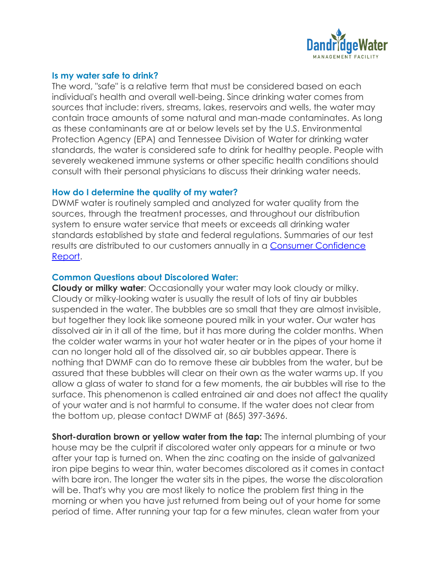

### **Is my water safe to drink?**

The word, "safe" is a relative term that must be considered based on each individual's health and overall well-being. Since drinking water comes from sources that include: rivers, streams, lakes, reservoirs and wells, the water may contain trace amounts of some natural and man-made contaminates. As long as these contaminants are at or below levels set by the U.S. Environmental Protection Agency (EPA) and Tennessee Division of Water for drinking water standards, the water is considered safe to drink for healthy people. People with severely weakened immune systems or other specific health conditions should consult with their personal physicians to discuss their drinking water needs.

### **How do I determine the quality of my water?**

DWMF water is routinely sampled and analyzed for water quality from the sources, through the treatment processes, and throughout our distribution system to ensure water service that meets or exceeds all drinking water standards established by state and federal regulations. Summaries of our test results are distributed to our customers annually in a [Consumer Confidence](http://www.amwater.com/kyaw/ensuring-water-quality/water-quality-reports.html)  [Report.](http://www.amwater.com/kyaw/ensuring-water-quality/water-quality-reports.html)

### **Common Questions about Discolored Water:**

**Cloudy or milky water**: Occasionally your water may look cloudy or milky. Cloudy or milky-looking water is usually the result of lots of tiny air bubbles suspended in the water. The bubbles are so small that they are almost invisible, but together they look like someone poured milk in your water. Our water has dissolved air in it all of the time, but it has more during the colder months. When the colder water warms in your hot water heater or in the pipes of your home it can no longer hold all of the dissolved air, so air bubbles appear. There is nothing that DWMF can do to remove these air bubbles from the water, but be assured that these bubbles will clear on their own as the water warms up. If you allow a glass of water to stand for a few moments, the air bubbles will rise to the surface. This phenomenon is called entrained air and does not affect the quality of your water and is not harmful to consume. If the water does not clear from the bottom up, please contact DWMF at (865) 397-3696.

**Short-duration brown or yellow water from the tap:** The internal plumbing of your house may be the culprit if discolored water only appears for a minute or two after your tap is turned on. When the zinc coating on the inside of galvanized iron pipe begins to wear thin, water becomes discolored as it comes in contact with bare iron. The longer the water sits in the pipes, the worse the discoloration will be. That's why you are most likely to notice the problem first thing in the morning or when you have just returned from being out of your home for some period of time. After running your tap for a few minutes, clean water from your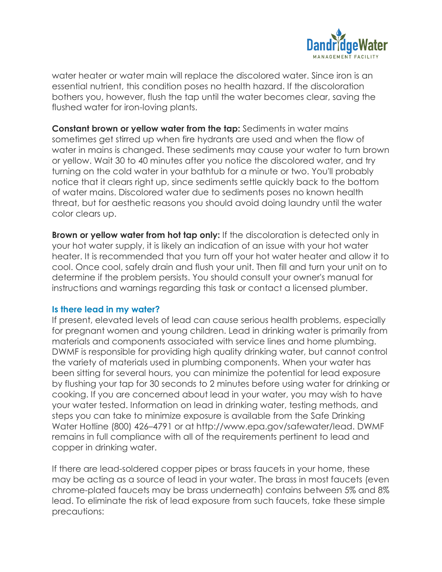

water heater or water main will replace the discolored water. Since iron is an essential nutrient, this condition poses no health hazard. If the discoloration bothers you, however, flush the tap until the water becomes clear, saving the flushed water for iron-loving plants.

**Constant brown or yellow water from the tap:** Sediments in water mains sometimes get stirred up when fire hydrants are used and when the flow of water in mains is changed. These sediments may cause your water to turn brown or yellow. Wait 30 to 40 minutes after you notice the discolored water, and try turning on the cold water in your bathtub for a minute or two. You'll probably notice that it clears right up, since sediments settle quickly back to the bottom of water mains. Discolored water due to sediments poses no known health threat, but for aesthetic reasons you should avoid doing laundry until the water color clears up.

**Brown or yellow water from hot tap only:** If the discoloration is detected only in your hot water supply, it is likely an indication of an issue with your hot water heater. It is recommended that you turn off your hot water heater and allow it to cool. Once cool, safely drain and flush your unit. Then fill and turn your unit on to determine if the problem persists. You should consult your owner's manual for instructions and warnings regarding this task or contact a licensed plumber.

## **Is there lead in my water?**

If present, elevated levels of lead can cause serious health problems, especially for pregnant women and young children. Lead in drinking water is primarily from materials and components associated with service lines and home plumbing. DWMF is responsible for providing high quality drinking water, but cannot control the variety of materials used in plumbing components. When your water has been sitting for several hours, you can minimize the potential for lead exposure by flushing your tap for 30 seconds to 2 minutes before using water for drinking or cooking. If you are concerned about lead in your water, you may wish to have your water tested. Information on lead in drinking water, testing methods, and steps you can take to minimize exposure is available from the Safe Drinking Water Hotline (800) 426–4791 or at http://www.epa.gov/safewater/lead. DWMF remains in full compliance with all of the requirements pertinent to lead and copper in drinking water.

If there are lead-soldered copper pipes or brass faucets in your home, these may be acting as a source of lead in your water. The brass in most faucets (even chrome-plated faucets may be brass underneath) contains between 5% and 8% lead. To eliminate the risk of lead exposure from such faucets, take these simple precautions: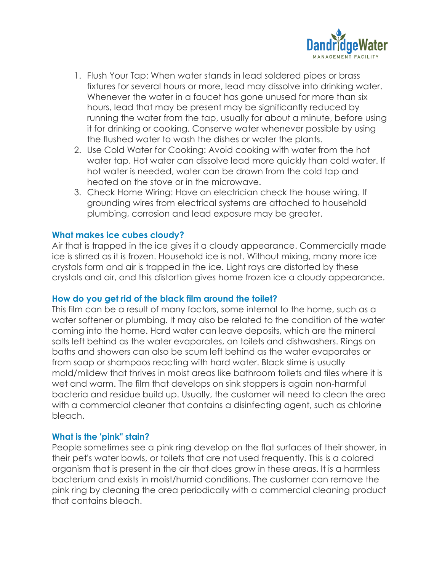

- 1. Flush Your Tap: When water stands in lead soldered pipes or brass fixtures for several hours or more, lead may dissolve into drinking water. Whenever the water in a faucet has gone unused for more than six hours, lead that may be present may be significantly reduced by running the water from the tap, usually for about a minute, before using it for drinking or cooking. Conserve water whenever possible by using the flushed water to wash the dishes or water the plants.
- 2. Use Cold Water for Cooking: Avoid cooking with water from the hot water tap. Hot water can dissolve lead more quickly than cold water. If hot water is needed, water can be drawn from the cold tap and heated on the stove or in the microwave.
- 3. Check Home Wiring: Have an electrician check the house wiring. If grounding wires from electrical systems are attached to household plumbing, corrosion and lead exposure may be greater.

# **What makes ice cubes cloudy?**

Air that is trapped in the ice gives it a cloudy appearance. Commercially made ice is stirred as it is frozen. Household ice is not. Without mixing, many more ice crystals form and air is trapped in the ice. Light rays are distorted by these crystals and air, and this distortion gives home frozen ice a cloudy appearance.

## **How do you get rid of the black film around the toilet?**

This film can be a result of many factors, some internal to the home, such as a water softener or plumbing. It may also be related to the condition of the water coming into the home. Hard water can leave deposits, which are the mineral salts left behind as the water evaporates, on toilets and dishwashers. Rings on baths and showers can also be scum left behind as the water evaporates or from soap or shampoos reacting with hard water. Black slime is usually mold/mildew that thrives in moist areas like bathroom toilets and tiles where it is wet and warm. The film that develops on sink stoppers is again non-harmful bacteria and residue build up. Usually, the customer will need to clean the area with a commercial cleaner that contains a disinfecting agent, such as chlorine bleach.

## **What is the 'pink" stain?**

People sometimes see a pink ring develop on the flat surfaces of their shower, in their pet's water bowls, or toilets that are not used frequently. This is a colored organism that is present in the air that does grow in these areas. It is a harmless bacterium and exists in moist/humid conditions. The customer can remove the pink ring by cleaning the area periodically with a commercial cleaning product that contains bleach.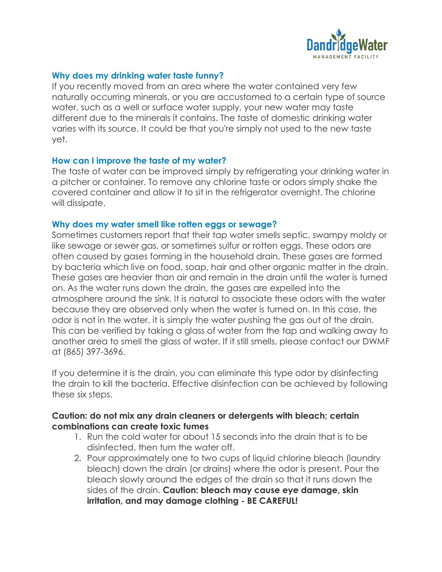

## **Why does my drinking water taste funny?**

If you recently moved from an area where the water contained very few naturally occurring minerals, or you are accustomed to a certain type of source water, such as a well or surface water supply, your new water may taste different due to the minerals it contains. The taste of domestic drinking water varies with its source. It could be that you're simply not used to the new taste yet.

## **How can I improve the taste of my water?**

The taste of water can be improved simply by refrigerating your drinking water in a pitcher or container. To remove any chlorine taste or odors simply shake the covered container and allow it to sit in the refrigerator overnight. The chlorine will dissipate.

### **Why does my water smell like rotten eggs or sewage?**

Sometimes customers report that their tap water smells septic, swampy moldy or like sewage or sewer gas, or sometimes sulfur or rotten eggs. These odors are often caused by gases forming in the household drain. These gases are formed by bacteria which live on food, soap, hair and other organic matter in the drain. These gases are heavier than air and remain in the drain until the water is turned on. As the water runs down the drain, the gases are expelled into the atmosphere around the sink. It is natural to associate these odors with the water because they are observed only when the water is turned on. In this case, the odor is not in the water, it is simply the water pushing the gas out of the drain. This can be verified by taking a glass of water from the tap and walking away to another area to smell the glass of water. If it still smells, please contact our DWMF at (865) 397-3696.

If you determine it is the drain, you can eliminate this type odor by disinfecting the drain to kill the bacteria. Effective disinfection can be achieved by following these six steps.

# **Caution: do not mix any drain cleaners or detergents with bleach; certain combinations can create toxic fumes**

- 1. Run the cold water for about 15 seconds into the drain that is to be disinfected, then turn the water off.
- 2. Pour approximately one to two cups of liquid chlorine bleach (laundry bleach) down the drain (or drains) where the odor is present. Pour the bleach slowly around the edges of the drain so that it runs down the sides of the drain. **Caution: bleach may cause eye damage, skin irritation, and may damage clothing - BE CAREFUL!**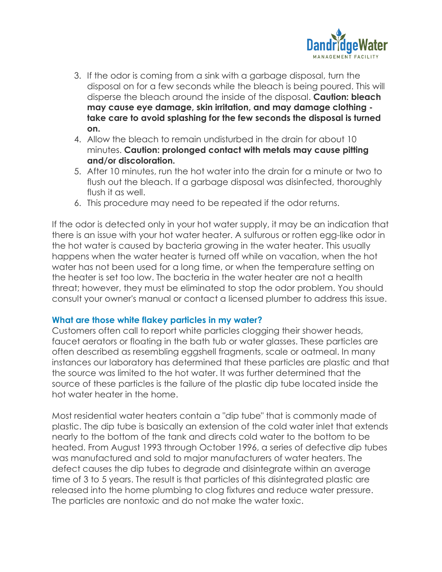

- 3. If the odor is coming from a sink with a garbage disposal, turn the disposal on for a few seconds while the bleach is being poured. This will disperse the bleach around the inside of the disposal. **Caution: bleach may cause eye damage, skin irritation, and may damage clothing take care to avoid splashing for the few seconds the disposal is turned on.**
- 4. Allow the bleach to remain undisturbed in the drain for about 10 minutes. **Caution: prolonged contact with metals may cause pitting and/or discoloration.**
- 5. After 10 minutes, run the hot water into the drain for a minute or two to flush out the bleach. If a garbage disposal was disinfected, thoroughly flush it as well.
- 6. This procedure may need to be repeated if the odor returns.

If the odor is detected only in your hot water supply, it may be an indication that there is an issue with your hot water heater. A sulfurous or rotten egg-like odor in the hot water is caused by bacteria growing in the water heater. This usually happens when the water heater is turned off while on vacation, when the hot water has not been used for a long time, or when the temperature setting on the heater is set too low. The bacteria in the water heater are not a health threat; however, they must be eliminated to stop the odor problem. You should consult your owner's manual or contact a licensed plumber to address this issue.

## **What are those white flakey particles in my water?**

Customers often call to report white particles clogging their shower heads, faucet aerators or floating in the bath tub or water glasses. These particles are often described as resembling eggshell fragments, scale or oatmeal. In many instances our laboratory has determined that these particles are plastic and that the source was limited to the hot water. It was further determined that the source of these particles is the failure of the plastic dip tube located inside the hot water heater in the home.

Most residential water heaters contain a "dip tube" that is commonly made of plastic. The dip tube is basically an extension of the cold water inlet that extends nearly to the bottom of the tank and directs cold water to the bottom to be heated. From August 1993 through October 1996, a series of defective dip tubes was manufactured and sold to major manufacturers of water heaters. The defect causes the dip tubes to degrade and disintegrate within an average time of 3 to 5 years. The result is that particles of this disintegrated plastic are released into the home plumbing to clog fixtures and reduce water pressure. The particles are nontoxic and do not make the water toxic.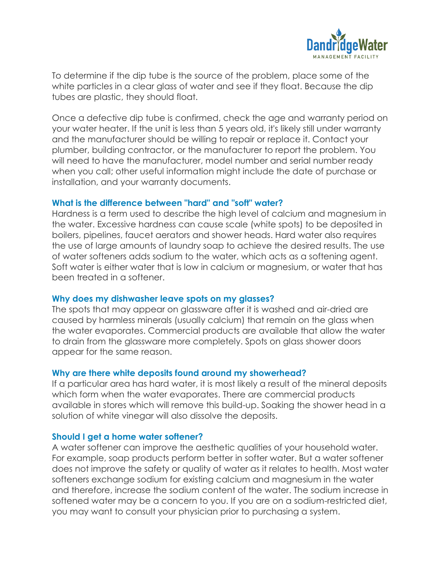

To determine if the dip tube is the source of the problem, place some of the white particles in a clear glass of water and see if they float. Because the dip tubes are plastic, they should float.

Once a defective dip tube is confirmed, check the age and warranty period on your water heater. If the unit is less than 5 years old, it's likely still under warranty and the manufacturer should be willing to repair or replace it. Contact your plumber, building contractor, or the manufacturer to report the problem. You will need to have the manufacturer, model number and serial number ready when you call; other useful information might include the date of purchase or installation, and your warranty documents.

## **What is the difference between "hard" and "soft" water?**

Hardness is a term used to describe the high level of calcium and magnesium in the water. Excessive hardness can cause scale (white spots) to be deposited in boilers, pipelines, faucet aerators and shower heads. Hard water also requires the use of large amounts of laundry soap to achieve the desired results. The use of water softeners adds sodium to the water, which acts as a softening agent. Soft water is either water that is low in calcium or magnesium, or water that has been treated in a softener.

## **Why does my dishwasher leave spots on my glasses?**

The spots that may appear on glassware after it is washed and air-dried are caused by harmless minerals (usually calcium) that remain on the glass when the water evaporates. Commercial products are available that allow the water to drain from the glassware more completely. Spots on glass shower doors appear for the same reason.

## **Why are there white deposits found around my showerhead?**

If a particular area has hard water, it is most likely a result of the mineral deposits which form when the water evaporates. There are commercial products available in stores which will remove this build-up. Soaking the shower head in a solution of white vinegar will also dissolve the deposits.

## **Should I get a home water softener?**

A water softener can improve the aesthetic qualities of your household water. For example, soap products perform better in softer water. But a water softener does not improve the safety or quality of water as it relates to health. Most water softeners exchange sodium for existing calcium and magnesium in the water and therefore, increase the sodium content of the water. The sodium increase in softened water may be a concern to you. If you are on a sodium-restricted diet, you may want to consult your physician prior to purchasing a system.